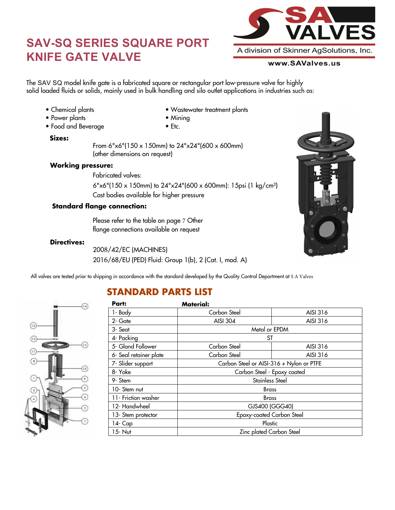# **SAV-SQ SERIES SQUARE PORT KNIFE GATE VALVE**



#### www.SAValves.us

e gate is a fabric<mark>c</mark><br>ids, mainly used i The SAV SQ model knife gate is a fabricated square or rectangular port low-pressure valve for highly solid loaded fluids or solids, mainly used in bulk handling and silo outlet applications in industries such as:

• Chemical plants • Power plants

• Food and Beverage

- Wastewater treatment plants • Mining
- Etc.

#### **Sizes:**

From 6"x6"(150 x 150mm) to 24"x24"(600 x 600mm) (other dimensions on request)

#### **Working pressure:**

Fabricated valves: Cast bodies available for higher pressure 6"x6"(150 x 150mm) to 24"x24"(600 x 600mm): 15psi (1 kg/cm²)

#### **Standard flange connection:**

Please refer to the table on page 7 Other flange connections available on request

#### **Directives:**

2008/42/EC (MACHINES) 2016/68/EU (PED) Fluid: Group 1(b), 2 (Cat. I, mod. A)

All valves are tested prior to shipping in accordance with the standard developed by the Quality Control Department at S A Valves

### **STANDARD PARTS LIST**



| Part:                  | <b>Material:</b>                         |          |  |  |  |  |
|------------------------|------------------------------------------|----------|--|--|--|--|
| 1- Body                | Carbon Steel                             | AISI 316 |  |  |  |  |
| 2- Gate                | AISI 304                                 | AISI 316 |  |  |  |  |
| 3- Seat                | Metal or EPDM                            |          |  |  |  |  |
| 4- Packing             | ST                                       |          |  |  |  |  |
| 5- Gland Follower      | Carbon Steel                             | AISI 316 |  |  |  |  |
| 6- Seal retainer plate | Carbon Steel                             | AISI 316 |  |  |  |  |
| 7- Slider support      | Carbon Steel or AISI-316 + Nylon or PTFE |          |  |  |  |  |
| 8- Yoke                | Carbon Steel - Epoxy coated              |          |  |  |  |  |
| 9- Stem                | Stainless Steel                          |          |  |  |  |  |
| 10- Stem nut           | <b>Brass</b>                             |          |  |  |  |  |
| 11- Friction washer    | <b>Brass</b>                             |          |  |  |  |  |
| 12- Handwheel          | GJS400 (GGG40)                           |          |  |  |  |  |
| 13- Stem protector     | Epoxy-coated Carbon Steel                |          |  |  |  |  |
| 14- Cap                | Plastic                                  |          |  |  |  |  |
| 15- Nut                | Zinc plated Carbon Steel                 |          |  |  |  |  |

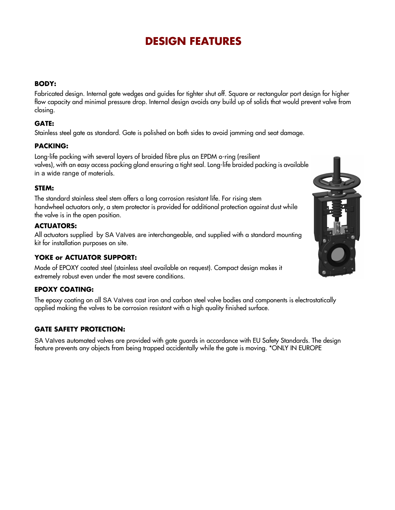### **DESIGN FEATURES**

#### **BODY:**

Fabricated design. Internal gate wedges and guides for tighter shut off. Square or rectangular port design for higher flow capacity and minimal pressure drop. Internal design avoids any build up of solids that would prevent valve from closing.

#### **GATE:**

Stainless steel gate as standard. Gate is polished on both sides to avoid jamming and seat damage.

#### **PACKING:**

Long-life packing with several layers of braided fibre plus an EPDM o-ring (resilient valves), with an easy access packing gland ensuring a tight seal. Long-life braided packing is available in a wide range of materials.

#### **STEM:**

The standard stainless steel stem offers a long corrosion resistant life. For rising stem handwheel actuators only, a stem protector is provided for additional protection against dust while the valve is in the open position.

#### **ACTUATORS:**

All actuators supplied by SA Valves are interchangeable, and supplied with a standard mounting kit for installation purposes on site.

#### **YOKE or ACTUATOR SUPPORT:**

Made of EPOXY coated steel (stainless steel available on request). Compact design makes it extremely robust even under the most severe conditions.

#### **EPOXY COATING:**

The epoxy coating on all SA Valves cast iron and carbon steel valve bodies and components is electrostatically applied making the valves to be corrosion resistant with a high quality finished surface.

#### **GATE SAFETY PROTECTION:**

SA Valves automated valves are provided with gate guards in accordance with EU Safety Standards. The design feature prevents any objects from being trapped accidentally while the gate is moving. \*ONLY IN EUROPE

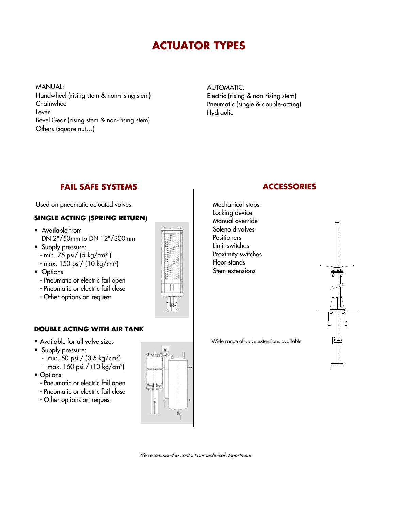# **ACTUATOR TYPES**

MANUAL: Handwheel (rising stem & non-rising stem) Chainwheel Lever Bevel Gear (rising stem & non-rising stem) Others (square nut…)

#### AUTOMATIC: Electric (rising & non-rising stem) Pneumatic (single & double-acting) Hydraulic

### **FAIL SAFE SYSTEMS ACCESSORIES**

Used on pneumatic actuated valves

### **SINGLE ACTING (SPRING RETURN)**

- Available from DN 2"/50mm to DN 12"/300mm
- Supply pressure:
	- min. 75 psi/ (5 kg/cm² )
	- max. 150 psi/ (10 kg/cm²)
- Options:
	- Pneumatic or electric fail open
	- Pneumatic or electric fail close
	- Other options on request

### **DOUBLE ACTING WITH AIR TANK**

- Available for all valve sizes
- Supply pressure:
	- min. 50 psi / (3.5 kg/cm²)
	- max. 150 psi / (10 kg/cm²)
- Options:
	- Pneumatic or electric fail open
	- Pneumatic or electric fail close
	- Other options on request



Mechanical stops Locking device Manual override Solenoid valves **Positioners** Limit switches Proximity switches Floor stands Stem extensions

Wide range of valve extensions available



We recommend to contact our technical department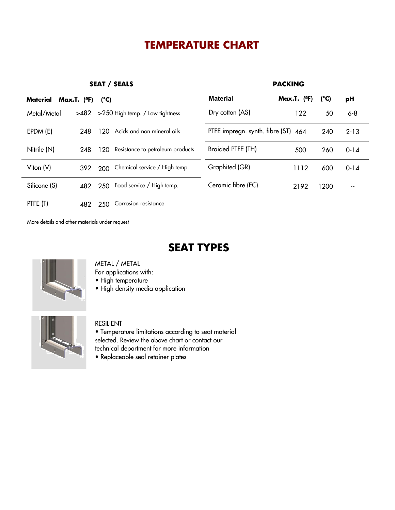## **TEMPERATURE CHART**

**SEAT / SEALS PACKING**

|  | <b>SEAT / SEALS</b> |
|--|---------------------|
|--|---------------------|

| Material     | Max.T. $(°F)$ | $(^{\circ}C)$                           | <b>Material</b>                     | Max.T. $(°F)$ | $(^{\circ}C)$ | рH       |  |
|--------------|---------------|-----------------------------------------|-------------------------------------|---------------|---------------|----------|--|
| Metal/Metal  | >482          | >250 High temp. / Low tightness         | Dry cotton (AS)                     | 122           | 50            | $6 - 8$  |  |
| EPDM (E)     | 248           | Acids and non mineral oils<br>120       | PTFE impregn. synth. fibre (ST) 464 |               | 240           | $2 - 13$ |  |
| Nitrile (N)  | 248           | Resistance to petroleum products<br>120 | Braided PTFE (TH)                   | 500           | 260           | $0 - 14$ |  |
| Viton (V)    | 392           | Chemical service / High temp.<br>200    | Graphited (GR)                      | 1112          | 600           | $0 - 14$ |  |
| Silicone (S) | 482           | Food service / High temp.<br>250        | Ceramic fibre (FC)                  | 2192          | 1200          | --       |  |
| PTFE (T)     | 482           | Corrosion resistance<br>250             |                                     |               |               |          |  |

More details and other materials under request

### **SEAT TYPES**



#### METAL / METAL

For applications with:

• High temperature

• High density media application



#### RESILIENT

• Temperature limitations according to seat material selected. Review the above chart or contact our technical department for more information

• Replaceable seal retainer plates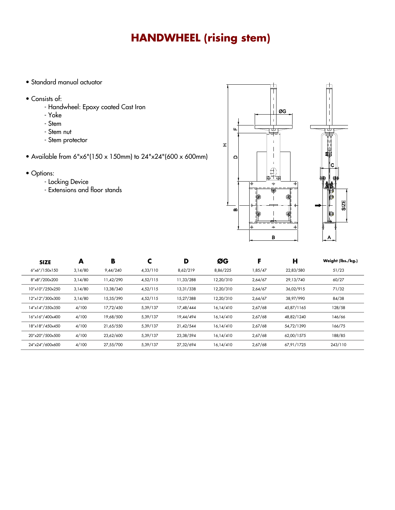# **HANDWHEEL (rising stem)**

- Standard manual actuator
- Consists of:
	- Handwheel: Epoxy coated Cast Iron
	- Yoke
	- Stem
	- Stem nut
	- Stem protector
- Available from 6"x6"(150 x 150mm) to 24"x24"(600 x 600mm)
- Options:
	- Locking Device
	- Extensions and floor stands



| <b>SIZE</b>     | A       | B         | ⊾        | D         | ØG        |         | Н          | Weight (lbs./kg.) |
|-----------------|---------|-----------|----------|-----------|-----------|---------|------------|-------------------|
| 6"x6"/150x150   | 3,14/80 | 9,44/240  | 4,33/110 | 8,62/219  | 8,86/225  | 1,85/47 | 22,83/580  | 51/23             |
| 8"x8"/200x200   | 3,14/80 | 11,42/290 | 4,52/115 | 11,33/288 | 12.20/310 | 2,64/67 | 29.13/740  | 60/27             |
| 10"x10"/250x250 | 3,14/80 | 13,38/340 | 4,52/115 | 13,31/338 | 12,20/310 | 2,64/67 | 36,02/915  | 71/32             |
| 12"x12"/300x300 | 3,14/80 | 15,35/390 | 4,52/115 | 15,27/388 | 12,20/310 | 2,64/67 | 38,97/990  | 84/38             |
| 14"x14"/350x350 | 4/100   | 17,72/450 | 5,39/137 | 17,48/444 | 16,14/410 | 2,67/68 | 45,87/1165 | 128/58            |
| 16"x16"/400x400 | 4/100   | 19,68/500 | 5,39/137 | 19,44/494 | 16,14/410 | 2,67/68 | 48,82/1240 | 146/66            |
| 18"x18"/450x450 | 4/100   | 21,65/550 | 5,39/137 | 21,42/544 | 16,14/410 | 2,67/68 | 54.72/1390 | 166/75            |
| 20"x20"/500x500 | 4/100   | 23,62/600 | 5,39/137 | 23.38/594 | 16,14/410 | 2,67/68 | 62.00/1575 | 188/85            |
| 24"x24"/600x600 | 4/100   | 27.55/700 | 5,39/137 | 27.32/694 | 16.14/410 | 2,67/68 | 67.91/1725 | 243/110           |